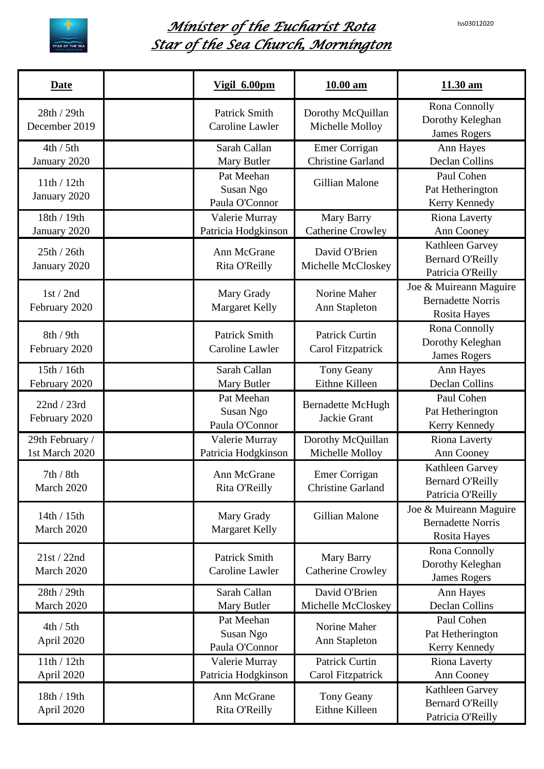

## *Minister of the Eucharist Rota Star of the Sea Church, Mornington*

| Date                              | Vigil 6.00pm                              | 10.00 am                                   | 11.30 am                                                                  |
|-----------------------------------|-------------------------------------------|--------------------------------------------|---------------------------------------------------------------------------|
| 28th / 29th<br>December 2019      | <b>Patrick Smith</b><br>Caroline Lawler   | Dorothy McQuillan<br>Michelle Molloy       | Rona Connolly<br>Dorothy Keleghan<br><b>James Rogers</b>                  |
| 4th / 5th<br>January 2020         | Sarah Callan<br>Mary Butler               | Emer Corrigan<br><b>Christine Garland</b>  | Ann Hayes<br><b>Declan Collins</b>                                        |
| 11th / 12th<br>January 2020       | Pat Meehan<br>Susan Ngo<br>Paula O'Connor | <b>Gillian Malone</b>                      | Paul Cohen<br>Pat Hetherington<br>Kerry Kennedy                           |
| 18th / 19th<br>January 2020       | Valerie Murray<br>Patricia Hodgkinson     | Mary Barry<br><b>Catherine Crowley</b>     | <b>Riona Laverty</b><br>Ann Cooney                                        |
| 25th / 26th<br>January 2020       | Ann McGrane<br>Rita O'Reilly              | David O'Brien<br>Michelle McCloskey        | Kathleen Garvey<br><b>Bernard O'Reilly</b><br>Patricia O'Reilly           |
| 1st/2nd<br>February 2020          | Mary Grady<br><b>Margaret Kelly</b>       | Norine Maher<br>Ann Stapleton              | Joe & Muireann Maguire<br><b>Bernadette Norris</b><br><b>Rosita Hayes</b> |
| 8th/9th<br>February 2020          | <b>Patrick Smith</b><br>Caroline Lawler   | <b>Patrick Curtin</b><br>Carol Fitzpatrick | Rona Connolly<br>Dorothy Keleghan<br><b>James Rogers</b>                  |
| 15th / 16th<br>February 2020      | Sarah Callan<br>Mary Butler               | Tony Geany<br>Eithne Killeen               | Ann Hayes<br><b>Declan Collins</b>                                        |
| 22nd / 23rd<br>February 2020      | Pat Meehan<br>Susan Ngo<br>Paula O'Connor | <b>Bernadette McHugh</b><br>Jackie Grant   | Paul Cohen<br>Pat Hetherington<br>Kerry Kennedy                           |
| 29th February /<br>1st March 2020 | Valerie Murray<br>Patricia Hodgkinson     | Dorothy McQuillan<br>Michelle Molloy       | <b>Riona Laverty</b><br>Ann Cooney                                        |
| 7th / 8th<br>March 2020           | Ann McGrane<br>Rita O'Reilly              | Emer Corrigan<br><b>Christine Garland</b>  | Kathleen Garvey<br><b>Bernard O'Reilly</b><br>Patricia O'Reilly           |
| 14th / 15th<br>March 2020         | Mary Grady<br><b>Margaret Kelly</b>       | Gillian Malone                             | Joe & Muireann Maguire<br><b>Bernadette Norris</b><br><b>Rosita Hayes</b> |
| 21st / 22nd<br>March 2020         | <b>Patrick Smith</b><br>Caroline Lawler   | Mary Barry<br><b>Catherine Crowley</b>     | Rona Connolly<br>Dorothy Keleghan<br><b>James Rogers</b>                  |
| 28th / 29th<br>March 2020         | Sarah Callan<br>Mary Butler               | David O'Brien<br>Michelle McCloskey        | Ann Hayes<br><b>Declan Collins</b>                                        |
| 4th / 5th<br>April 2020           | Pat Meehan<br>Susan Ngo<br>Paula O'Connor | Norine Maher<br>Ann Stapleton              | Paul Cohen<br>Pat Hetherington<br>Kerry Kennedy                           |
| 11th / 12th<br>April 2020         | Valerie Murray<br>Patricia Hodgkinson     | <b>Patrick Curtin</b><br>Carol Fitzpatrick | <b>Riona Laverty</b><br>Ann Cooney                                        |
| 18th / 19th<br>April 2020         | Ann McGrane<br>Rita O'Reilly              | Tony Geany<br>Eithne Killeen               | Kathleen Garvey<br><b>Bernard O'Reilly</b><br>Patricia O'Reilly           |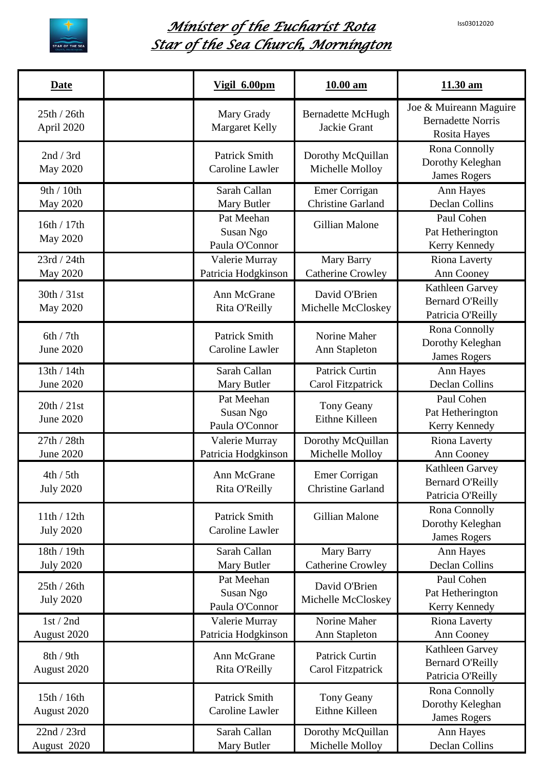

## *Minister of the Eucharist Rota Star of the Sea Church, Mornington*

| Date                            | Vigil 6.00pm                              | $10.00$ am                                       | 11.30 am                                                           |
|---------------------------------|-------------------------------------------|--------------------------------------------------|--------------------------------------------------------------------|
| 25th / 26th<br>April 2020       | Mary Grady<br><b>Margaret Kelly</b>       | <b>Bernadette McHugh</b><br>Jackie Grant         | Joe & Muireann Maguire<br><b>Bernadette Norris</b><br>Rosita Hayes |
| 2nd / 3rd<br><b>May 2020</b>    | <b>Patrick Smith</b><br>Caroline Lawler   | Dorothy McQuillan<br>Michelle Molloy             | Rona Connolly<br>Dorothy Keleghan<br><b>James Rogers</b>           |
| 9th / 10th<br><b>May 2020</b>   | Sarah Callan<br>Mary Butler               | Emer Corrigan<br><b>Christine Garland</b>        | Ann Hayes<br><b>Declan Collins</b>                                 |
| 16th / 17th<br><b>May 2020</b>  | Pat Meehan<br>Susan Ngo<br>Paula O'Connor | Gillian Malone                                   | Paul Cohen<br>Pat Hetherington<br>Kerry Kennedy                    |
| 23rd / 24th<br>May 2020         | Valerie Murray<br>Patricia Hodgkinson     | Mary Barry<br><b>Catherine Crowley</b>           | <b>Riona Laverty</b><br>Ann Cooney                                 |
| 30th / 31st<br><b>May 2020</b>  | Ann McGrane<br>Rita O'Reilly              | David O'Brien<br>Michelle McCloskey              | Kathleen Garvey<br><b>Bernard O'Reilly</b><br>Patricia O'Reilly    |
| 6th / 7th<br><b>June 2020</b>   | <b>Patrick Smith</b><br>Caroline Lawler   | Norine Maher<br>Ann Stapleton                    | Rona Connolly<br>Dorothy Keleghan<br><b>James Rogers</b>           |
| 13th / 14th<br>June 2020        | Sarah Callan<br>Mary Butler               | <b>Patrick Curtin</b><br>Carol Fitzpatrick       | Ann Hayes<br><b>Declan Collins</b>                                 |
| 20th / 21st<br>June 2020        | Pat Meehan<br>Susan Ngo<br>Paula O'Connor | Tony Geany<br>Eithne Killeen                     | Paul Cohen<br>Pat Hetherington<br>Kerry Kennedy                    |
| 27th / 28th<br>June 2020        | Valerie Murray<br>Patricia Hodgkinson     | Dorothy McQuillan<br>Michelle Molloy             | Riona Laverty<br>Ann Cooney                                        |
| 4th / 5th<br><b>July 2020</b>   | Ann McGrane<br>Rita O'Reilly              | <b>Emer Corrigan</b><br><b>Christine Garland</b> | Kathleen Garvey<br><b>Bernard O'Reilly</b><br>Patricia O'Reilly    |
| 11th / 12th<br><b>July 2020</b> | <b>Patrick Smith</b><br>Caroline Lawler   | Gillian Malone                                   | Rona Connolly<br>Dorothy Keleghan<br><b>James Rogers</b>           |
| 18th / 19th<br><b>July 2020</b> | Sarah Callan<br>Mary Butler               | Mary Barry<br><b>Catherine Crowley</b>           | Ann Hayes<br>Declan Collins                                        |
| 25th / 26th<br><b>July 2020</b> | Pat Meehan<br>Susan Ngo<br>Paula O'Connor | David O'Brien<br>Michelle McCloskey              | Paul Cohen<br>Pat Hetherington<br>Kerry Kennedy                    |
| 1st/2nd<br>August 2020          | Valerie Murray<br>Patricia Hodgkinson     | Norine Maher<br>Ann Stapleton                    | Riona Laverty<br>Ann Cooney                                        |
| 8th / 9th<br>August 2020        | Ann McGrane<br>Rita O'Reilly              | <b>Patrick Curtin</b><br>Carol Fitzpatrick       | Kathleen Garvey<br><b>Bernard O'Reilly</b><br>Patricia O'Reilly    |
| 15th / 16th<br>August 2020      | <b>Patrick Smith</b><br>Caroline Lawler   | <b>Tony Geany</b><br>Eithne Killeen              | Rona Connolly<br>Dorothy Keleghan<br><b>James Rogers</b>           |
| 22nd / 23rd<br>August 2020      | Sarah Callan<br>Mary Butler               | Dorothy McQuillan<br>Michelle Molloy             | Ann Hayes<br>Declan Collins                                        |